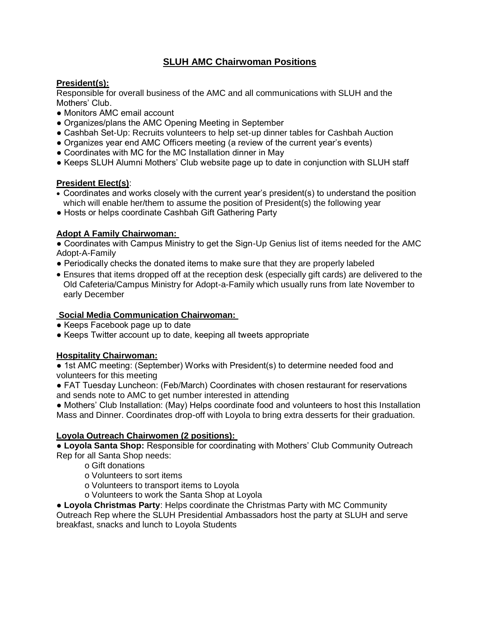# **SLUH AMC Chairwoman Positions**

# **President(s):**

Responsible for overall business of the AMC and all communications with SLUH and the Mothers' Club.

- Monitors AMC email account
- Organizes/plans the AMC Opening Meeting in September
- Cashbah Set-Up: Recruits volunteers to help set-up dinner tables for Cashbah Auction
- Organizes year end AMC Officers meeting (a review of the current year's events)
- Coordinates with MC for the MC Installation dinner in May
- Keeps SLUH Alumni Mothers' Club website page up to date in conjunction with SLUH staff

# **President Elect(s)**:

- Coordinates and works closely with the current year's president(s) to understand the position which will enable her/them to assume the position of President(s) the following year
- Hosts or helps coordinate Cashbah Gift Gathering Party

# **Adopt A Family Chairwoman:**

● Coordinates with Campus Ministry to get the Sign-Up Genius list of items needed for the AMC Adopt-A-Family

- Periodically checks the donated items to make sure that they are properly labeled
- Ensures that items dropped off at the reception desk (especially gift cards) are delivered to the Old Cafeteria/Campus Ministry for Adopt-a-Family which usually runs from late November to early December

# **Social Media Communication Chairwoman:**

- Keeps Facebook page up to date
- Keeps Twitter account up to date, keeping all tweets appropriate

# **Hospitality Chairwoman:**

• 1st AMC meeting: (September) Works with President(s) to determine needed food and volunteers for this meeting

● FAT Tuesday Luncheon: (Feb/March) Coordinates with chosen restaurant for reservations and sends note to AMC to get number interested in attending

• Mothers' Club Installation: (May) Helps coordinate food and volunteers to host this Installation Mass and Dinner. Coordinates drop-off with Loyola to bring extra desserts for their graduation.

# **Loyola Outreach Chairwomen (2 positions):**

● **Loyola Santa Shop:** Responsible for coordinating with Mothers' Club Community Outreach Rep for all Santa Shop needs:

- o Gift donations
- o Volunteers to sort items
- o Volunteers to transport items to Loyola
- o Volunteers to work the Santa Shop at Loyola

● **Loyola Christmas Party**: Helps coordinate the Christmas Party with MC Community Outreach Rep where the SLUH Presidential Ambassadors host the party at SLUH and serve breakfast, snacks and lunch to Loyola Students